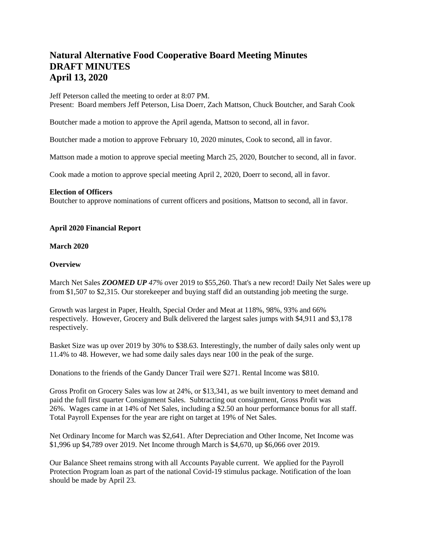# **Natural Alternative Food Cooperative Board Meeting Minutes DRAFT MINUTES April 13, 2020**

Jeff Peterson called the meeting to order at 8:07 PM. Present: Board members Jeff Peterson, Lisa Doerr, Zach Mattson, Chuck Boutcher, and Sarah Cook

Boutcher made a motion to approve the April agenda, Mattson to second, all in favor.

Boutcher made a motion to approve February 10, 2020 minutes, Cook to second, all in favor.

Mattson made a motion to approve special meeting March 25, 2020, Boutcher to second, all in favor.

Cook made a motion to approve special meeting April 2, 2020, Doerr to second, all in favor.

## **Election of Officers**

Boutcher to approve nominations of current officers and positions, Mattson to second, all in favor.

# **April 2020 Financial Report**

## **March 2020**

## **Overview**

March Net Sales *ZOOMED UP 47%* over 2019 to \$55,260. That's a new record! Daily Net Sales were up from \$1,507 to \$2,315. Our storekeeper and buying staff did an outstanding job meeting the surge.

Growth was largest in Paper, Health, Special Order and Meat at 118%, 98%, 93% and 66% respectively. However, Grocery and Bulk delivered the largest sales jumps with \$4,911 and \$3,178 respectively.

Basket Size was up over 2019 by 30% to \$38.63. Interestingly, the number of daily sales only went up 11.4% to 48. However, we had some daily sales days near 100 in the peak of the surge.

Donations to the friends of the Gandy Dancer Trail were \$271. Rental Income was \$810.

Gross Profit on Grocery Sales was low at 24%, or \$13,341, as we built inventory to meet demand and paid the full first quarter Consignment Sales. Subtracting out consignment, Gross Profit was 26%. Wages came in at 14% of Net Sales, including a \$2.50 an hour performance bonus for all staff. Total Payroll Expenses for the year are right on target at 19% of Net Sales.

Net Ordinary Income for March was \$2,641. After Depreciation and Other Income, Net Income was \$1,996 up \$4,789 over 2019. Net Income through March is \$4,670, up \$6,066 over 2019.

Our Balance Sheet remains strong with all Accounts Payable current. We applied for the Payroll Protection Program loan as part of the national Covid-19 stimulus package. Notification of the loan should be made by April 23.